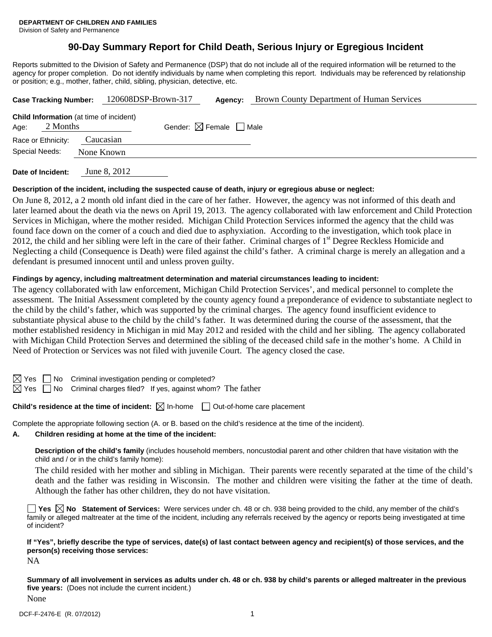# **90-Day Summary Report for Child Death, Serious Injury or Egregious Incident**

Reports submitted to the Division of Safety and Permanence (DSP) that do not include all of the required information will be returned to the agency for proper completion. Do not identify individuals by name when completing this report. Individuals may be referenced by relationship or position; e.g., mother, father, child, sibling, physician, detective, etc.

| <b>Case Tracking Number:</b>                                       |  |            | 120608DSP-Brown-317 |  | Agency:                                | Brown County Department of Human Services |
|--------------------------------------------------------------------|--|------------|---------------------|--|----------------------------------------|-------------------------------------------|
| <b>Child Information</b> (at time of incident)<br>2 Months<br>Age: |  |            |                     |  | Gender: $\boxtimes$ Female $\Box$ Male |                                           |
| Race or Ethnicity:                                                 |  | Caucasian  |                     |  |                                        |                                           |
| Special Needs:                                                     |  | None Known |                     |  |                                        |                                           |
|                                                                    |  |            | 0.2012              |  |                                        |                                           |

**Date of Incident:** June 8, 2012

## **Description of the incident, including the suspected cause of death, injury or egregious abuse or neglect:**

On June 8, 2012, a 2 month old infant died in the care of her father. However, the agency was not informed of this death and later learned about the death via the news on April 19, 2013. The agency collaborated with law enforcement and Child Protection Services in Michigan, where the mother resided. Michigan Child Protection Services informed the agency that the child was found face down on the corner of a couch and died due to asphyxiation. According to the investigation, which took place in 2012, the child and her sibling were left in the care of their father. Criminal charges of  $1<sup>st</sup>$  Degree Reckless Homicide and Neglecting a child (Consequence is Death) were filed against the child's father. A criminal charge is merely an allegation and a defendant is presumed innocent until and unless proven guilty.

## **Findings by agency, including maltreatment determination and material circumstances leading to incident:**

The agency collaborated with law enforcement, Michigan Child Protection Services', and medical personnel to complete the assessment. The Initial Assessment completed by the county agency found a preponderance of evidence to substantiate neglect to the child by the child's father, which was supported by the criminal charges. The agency found insufficient evidence to substantiate physical abuse to the child by the child's father. It was determined during the course of the assessment, that the mother established residency in Michigan in mid May 2012 and resided with the child and her sibling. The agency collaborated with Michigan Child Protection Serves and determined the sibling of the deceased child safe in the mother's home. A Child in Need of Protection or Services was not filed with juvenile Court. The agency closed the case.

No Criminal investigation pending or completed?

 $\Box$  No Criminal charges filed? If yes, against whom? The father

**Child's residence at the time of incident:**  $\boxtimes$  In-home  $\Box$  Out-of-home care placement

Complete the appropriate following section (A. or B. based on the child's residence at the time of the incident).

#### **A. Children residing at home at the time of the incident:**

**Description of the child's family** (includes household members, noncustodial parent and other children that have visitation with the child and / or in the child's family home):

 The child resided with her mother and sibling in Michigan. Their parents were recently separated at the time of the child's death and the father was residing in Wisconsin. The mother and children were visiting the father at the time of death. Although the father has other children, they do not have visitation.

**Yes No Statement of Services:** Were services under ch. 48 or ch. 938 being provided to the child, any member of the child's family or alleged maltreater at the time of the incident, including any referrals received by the agency or reports being investigated at time of incident?

**If "Yes", briefly describe the type of services, date(s) of last contact between agency and recipient(s) of those services, and the person(s) receiving those services:** 

NA

**Summary of all involvement in services as adults under ch. 48 or ch. 938 by child's parents or alleged maltreater in the previous five years:** (Does not include the current incident.)

None